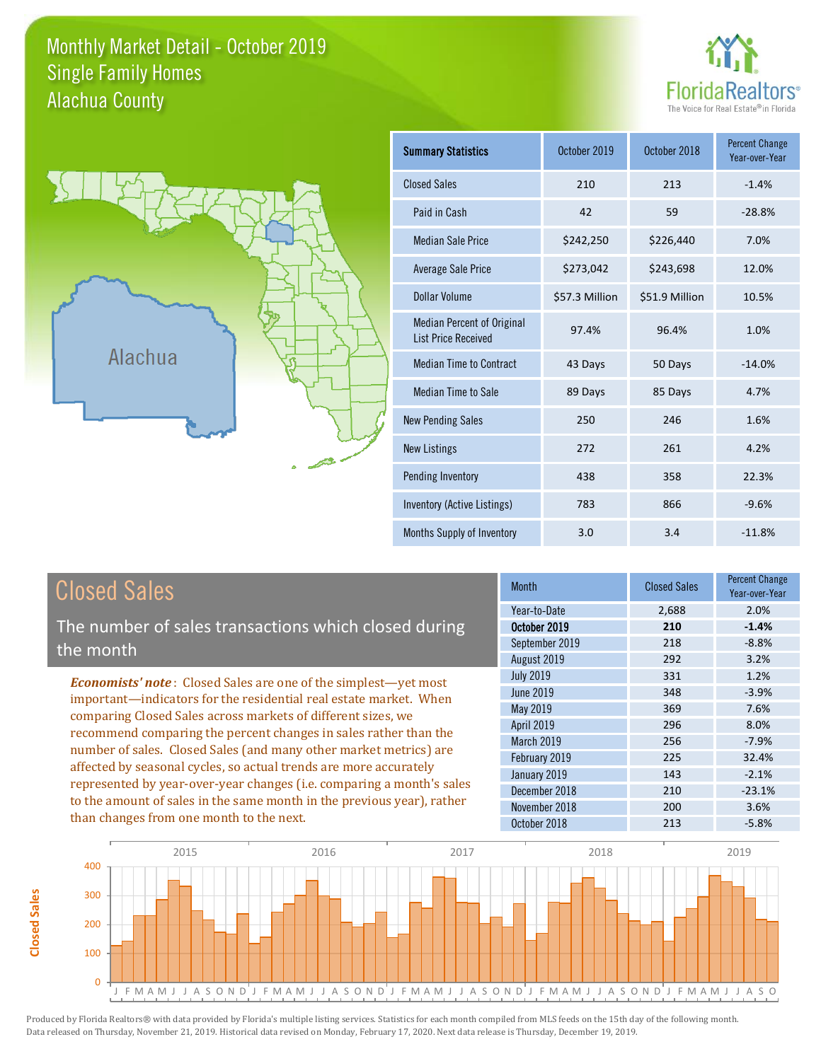## Monthly Market Detail - October 2019 Alachua County Single Family Homes





**Closed Sales**

**Closed Sales** 

| <b>Summary Statistics</b>                                       | October 2019   | October 2018   | <b>Percent Change</b><br>Year-over-Year |
|-----------------------------------------------------------------|----------------|----------------|-----------------------------------------|
| <b>Closed Sales</b>                                             | 210            | 213            | $-1.4%$                                 |
| Paid in Cash                                                    | 42             | 59             | $-28.8%$                                |
| <b>Median Sale Price</b>                                        | \$242,250      | \$226,440      | 7.0%                                    |
| <b>Average Sale Price</b>                                       | \$273,042      | \$243,698      | 12.0%                                   |
| Dollar Volume                                                   | \$57.3 Million | \$51.9 Million | 10.5%                                   |
| <b>Median Percent of Original</b><br><b>List Price Received</b> | 97.4%          | 96.4%          | 1.0%                                    |
| <b>Median Time to Contract</b>                                  | 43 Days        | 50 Days        | $-14.0%$                                |
| Median Time to Sale                                             | 89 Days        | 85 Days        | 4.7%                                    |
| <b>New Pending Sales</b>                                        | 250            | 246            | 1.6%                                    |
| <b>New Listings</b>                                             | 272            | 261            | 4.2%                                    |
| Pending Inventory                                               | 438            | 358            | 22.3%                                   |
| Inventory (Active Listings)                                     | 783            | 866            | $-9.6%$                                 |
| Months Supply of Inventory                                      | 3.0            | 3.4            | $-11.8%$                                |

| <b>Closed Sales</b>                                                                                                                                                                                                                                                                                                                                                                                                                                                                                                                                                                                                      | <b>Month</b>                                                                                                                                                           | <b>Closed Sales</b>                                                | <b>Percent Change</b><br>Year-over-Year                                                       |
|--------------------------------------------------------------------------------------------------------------------------------------------------------------------------------------------------------------------------------------------------------------------------------------------------------------------------------------------------------------------------------------------------------------------------------------------------------------------------------------------------------------------------------------------------------------------------------------------------------------------------|------------------------------------------------------------------------------------------------------------------------------------------------------------------------|--------------------------------------------------------------------|-----------------------------------------------------------------------------------------------|
| The number of sales transactions which closed during<br>the month                                                                                                                                                                                                                                                                                                                                                                                                                                                                                                                                                        | Year-to-Date<br>October 2019<br>September 2019<br>August 2019                                                                                                          | 2,688<br>210<br>218<br>292                                         | 2.0%<br>$-1.4%$<br>$-8.8%$<br>3.2%                                                            |
| <b>Economists' note:</b> Closed Sales are one of the simplest—yet most<br>important-indicators for the residential real estate market. When<br>comparing Closed Sales across markets of different sizes, we<br>recommend comparing the percent changes in sales rather than the<br>number of sales. Closed Sales (and many other market metrics) are<br>affected by seasonal cycles, so actual trends are more accurately<br>represented by year-over-year changes (i.e. comparing a month's sales<br>to the amount of sales in the same month in the previous year), rather<br>than changes from one month to the next. | <b>July 2019</b><br>June 2019<br>May 2019<br><b>April 2019</b><br><b>March 2019</b><br>February 2019<br>January 2019<br>December 2018<br>November 2018<br>October 2018 | 331<br>348<br>369<br>296<br>256<br>225<br>143<br>210<br>200<br>213 | 1.2%<br>$-3.9%$<br>7.6%<br>8.0%<br>$-7.9%$<br>32.4%<br>$-2.1%$<br>$-23.1%$<br>3.6%<br>$-5.8%$ |

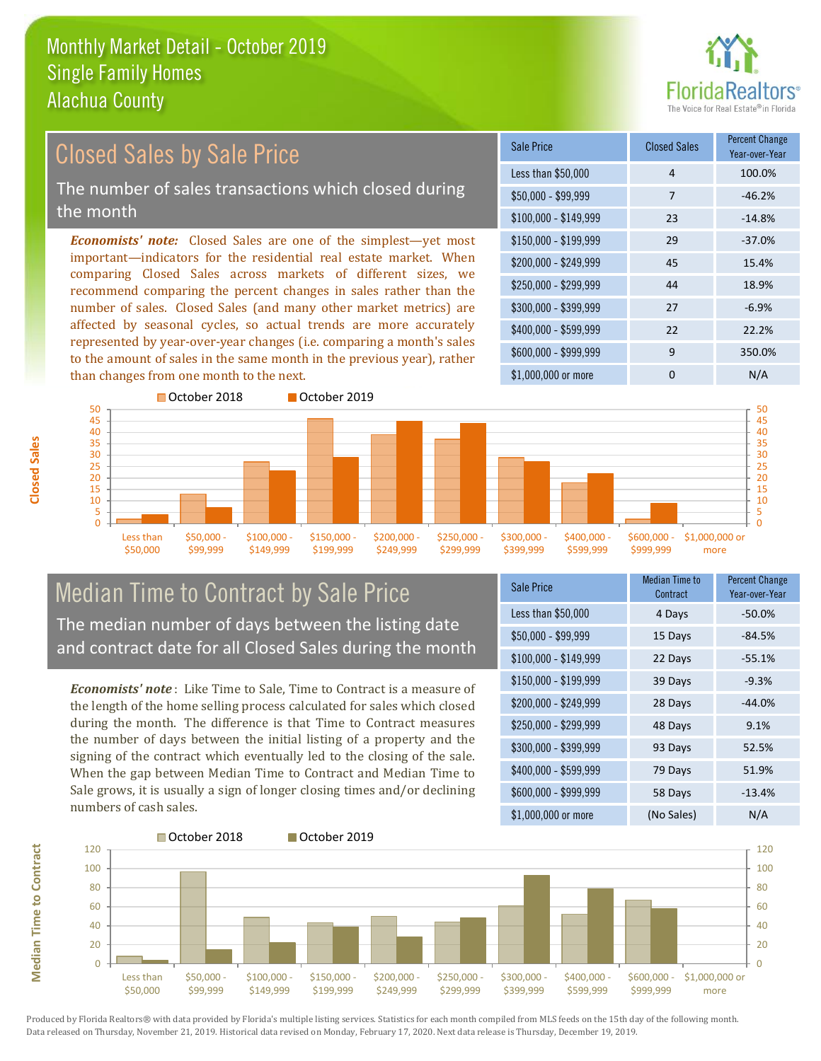

#### $$100,000 - $149,999$  23 -14.8% Sale Price Closed Sales Percent Change Year-over-Year Less than \$50,000 1 100.0%  $$50.000 - $99.999$  7 -46.2% \$150,000 - \$199,999 29 -37.0% \$200,000 - \$249,999 45 15.4% \$400,000 - \$599,999 22 22.2% \$600,000 - \$999,999 9 350.0% *Economists' note:* Closed Sales are one of the simplest—yet most important—indicators for the residential real estate market. When comparing Closed Sales across markets of different sizes, we recommend comparing the percent changes in sales rather than the number of sales. Closed Sales (and many other market metrics) are affected by seasonal cycles, so actual trends are more accurately represented by year-over-year changes (i.e. comparing a month's sales to the amount of sales in the same month in the previous year), rather than changes from one month to the next. \$1,000,000 or more 0 0 N/A \$250,000 - \$299,999 44 18.9%  $$300,000 - $399,999$  27 -6.9% October 2018 **October 2019** Closed Sales by Sale Price The number of sales transactions which closed during the month



## Median Time to Contract by Sale Price The median number of days between the listing date and contract date for all Closed Sales during the month

*Economists' note* : Like Time to Sale, Time to Contract is a measure of the length of the home selling process calculated for sales which closed during the month. The difference is that Time to Contract measures the number of days between the initial listing of a property and the signing of the contract which eventually led to the closing of the sale. When the gap between Median Time to Contract and Median Time to Sale grows, it is usually a sign of longer closing times and/or declining numbers of cash sales.

| <b>Sale Price</b>     | Median Time to<br>Contract | <b>Percent Change</b><br>Year-over-Year |
|-----------------------|----------------------------|-----------------------------------------|
| Less than \$50,000    | 4 Days                     | $-50.0%$                                |
| $$50,000 - $99,999$   | 15 Days                    | $-84.5%$                                |
| $$100,000 - $149,999$ | 22 Days                    | $-55.1%$                                |
| $$150,000 - $199,999$ | 39 Days                    | $-9.3%$                                 |
| \$200,000 - \$249,999 | 28 Days                    | $-44.0%$                                |
| \$250,000 - \$299,999 | 48 Days                    | 9.1%                                    |
| \$300,000 - \$399,999 | 93 Days                    | 52.5%                                   |
| \$400,000 - \$599,999 | 79 Days                    | 51.9%                                   |
| \$600,000 - \$999,999 | 58 Days                    | $-13.4%$                                |
| \$1,000,000 or more   | (No Sales)                 | N/A                                     |



**Closed Sales**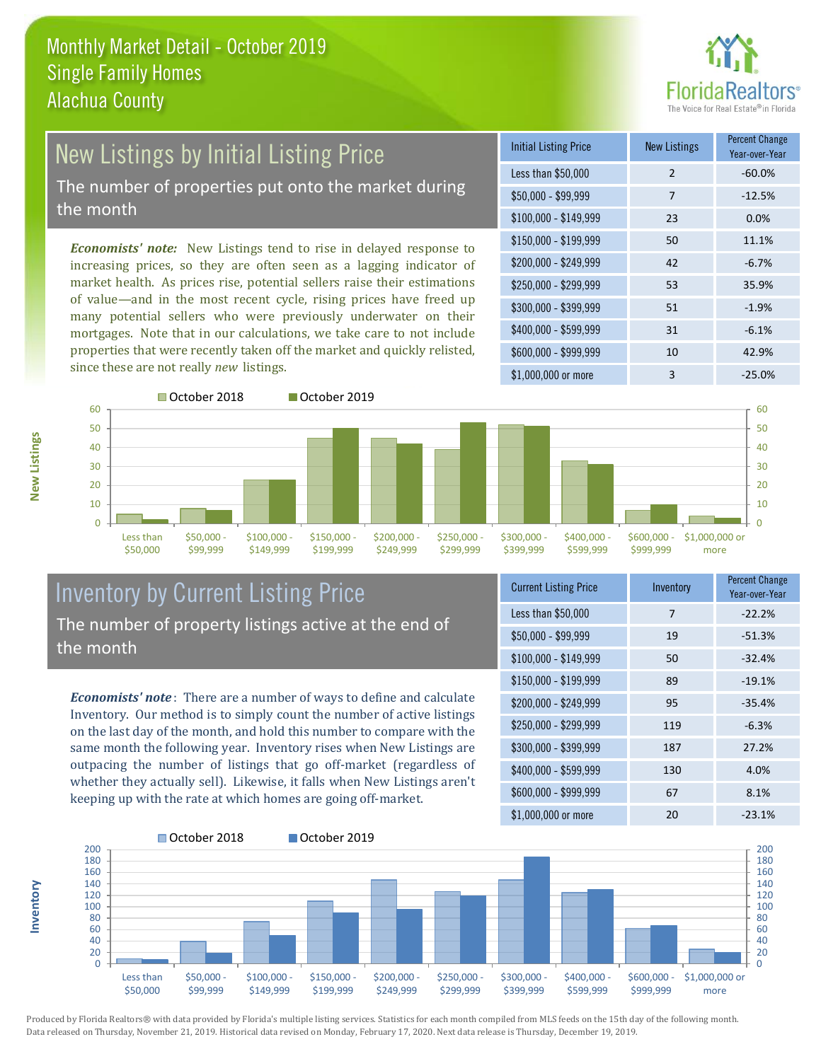

#### New Listings by Initial Listing Price The number of properties put onto the market during the month

*Economists' note:* New Listings tend to rise in delayed response to increasing prices, so they are often seen as a lagging indicator of market health. As prices rise, potential sellers raise their estimations of value—and in the most recent cycle, rising prices have freed up many potential sellers who were previously underwater on their mortgages. Note that in our calculations, we take care to not include properties that were recently taken off the market and quickly relisted, since these are not really *new* listings.

| <b>Initial Listing Price</b> | <b>New Listings</b> | <b>Percent Change</b><br>Year-over-Year |
|------------------------------|---------------------|-----------------------------------------|
| Less than \$50,000           | $\overline{2}$      | $-60.0%$                                |
| $$50,000 - $99,999$          | 7                   | $-12.5%$                                |
| $$100,000 - $149,999$        | 23                  | 0.0%                                    |
| $$150,000 - $199,999$        | 50                  | 11.1%                                   |
| \$200,000 - \$249,999        | 42                  | $-6.7%$                                 |
| $$250,000 - $299,999$        | 53                  | 35.9%                                   |
| \$300,000 - \$399,999        | 51                  | $-1.9%$                                 |
| \$400,000 - \$599,999        | 31                  | $-6.1%$                                 |
| \$600,000 - \$999,999        | 10                  | 42.9%                                   |
| $$1,000,000$ or more         | 3                   | $-25.0%$                                |





\$400,000 - \$599,999

\$600,000 - \$999,999 \$1,000,000 or more

| Inventory by Current Listing Price                   |
|------------------------------------------------------|
| The number of property listings active at the end of |
| the month                                            |

*Economists' note* : There are a number of ways to define and calculate Inventory. Our method is to simply count the number of active listings on the last day of the month, and hold this number to compare with the same month the following year. Inventory rises when New Listings are outpacing the number of listings that go off-market (regardless of whether they actually sell). Likewise, it falls when New Listings aren't keeping up with the rate at which homes are going off-market.

| <b>Current Listing Price</b> | Inventory | <b>Percent Change</b><br>Year-over-Year |
|------------------------------|-----------|-----------------------------------------|
| Less than \$50,000           | 7         | $-22.2%$                                |
| $$50,000 - $99,999$          | 19        | $-51.3%$                                |
| $$100,000 - $149,999$        | 50        | $-32.4%$                                |
| $$150,000 - $199,999$        | 89        | $-19.1%$                                |
| \$200,000 - \$249,999        | 95        | $-35.4%$                                |
| \$250,000 - \$299,999        | 119       | $-6.3%$                                 |
| \$300,000 - \$399,999        | 187       | 27.2%                                   |
| \$400,000 - \$599,999        | 130       | 4.0%                                    |
| \$600,000 - \$999,999        | 67        | 8.1%                                    |
| \$1,000,000 or more          | 20        | $-23.1%$                                |



Produced by Florida Realtors® with data provided by Florida's multiple listing services. Statistics for each month compiled from MLS feeds on the 15th day of the following month. Data released on Thursday, November 21, 2019. Historical data revised on Monday, February 17, 2020. Next data release is Thursday, December 19, 2019.

**Inventory**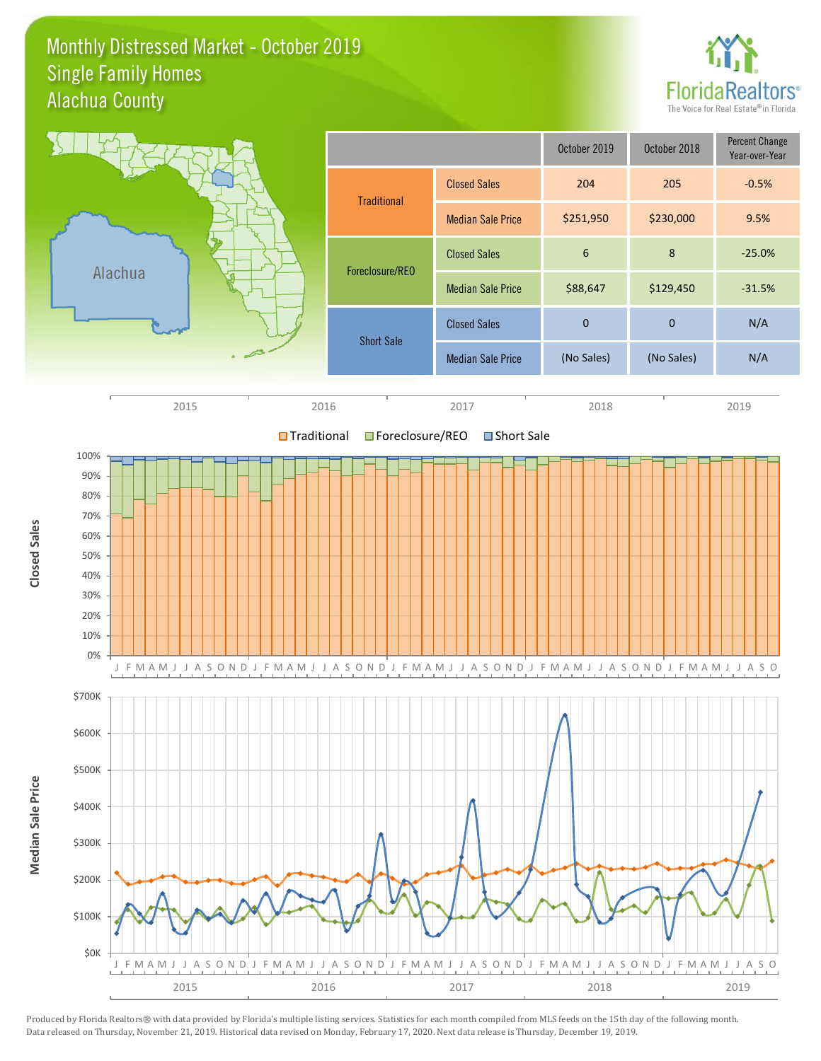#### Monthly Distressed Market - October 2019 Alachua County Single Family Homes



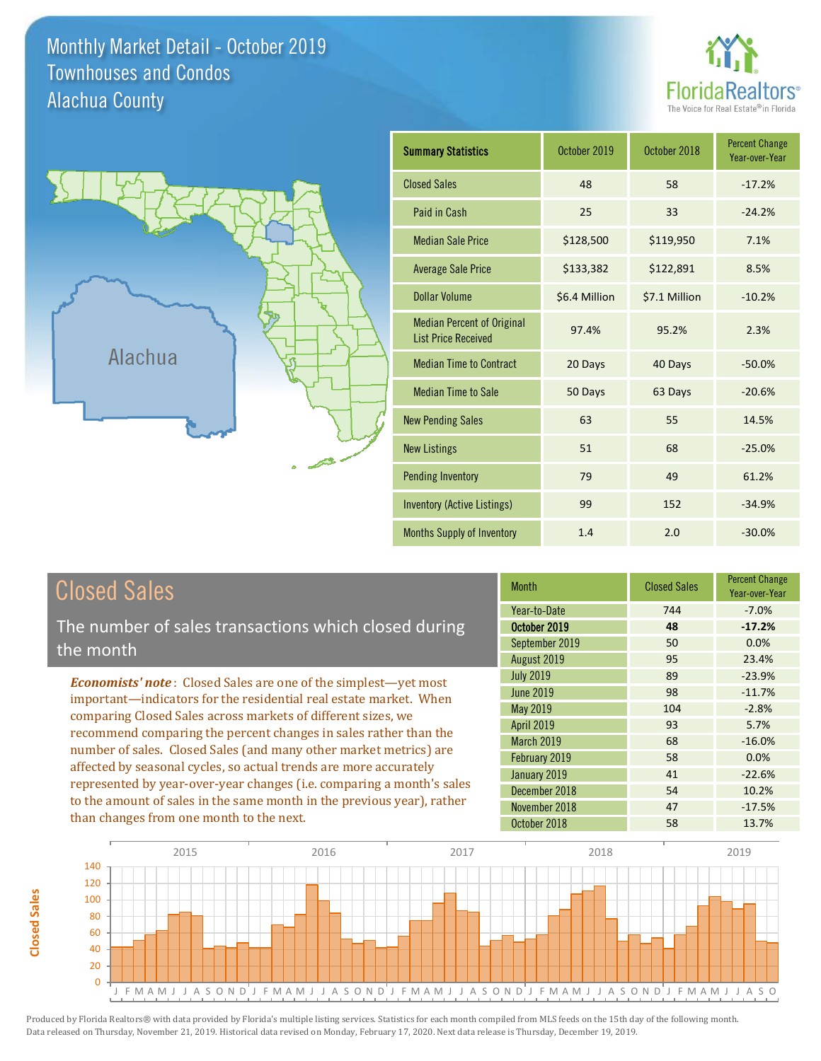Monthly Market Detail - October 2019 Alachua County Townhouses and Condos





| <b>Summary Statistics</b>                                       | October 2019  | October 2018  | <b>Percent Change</b><br>Year-over-Year |
|-----------------------------------------------------------------|---------------|---------------|-----------------------------------------|
| <b>Closed Sales</b>                                             | 48            | 58            | $-17.2%$                                |
| Paid in Cash                                                    | 25            | 33            | $-24.2%$                                |
| <b>Median Sale Price</b>                                        | \$128,500     | \$119,950     | 7.1%                                    |
| <b>Average Sale Price</b>                                       | \$133,382     | \$122,891     | 8.5%                                    |
| Dollar Volume                                                   | \$6.4 Million | \$7.1 Million | $-10.2%$                                |
| <b>Median Percent of Original</b><br><b>List Price Received</b> | 97.4%         | 95.2%         | 2.3%                                    |
| <b>Median Time to Contract</b>                                  | 20 Days       | 40 Days       | $-50.0%$                                |
| <b>Median Time to Sale</b>                                      | 50 Days       | 63 Days       | $-20.6%$                                |
| <b>New Pending Sales</b>                                        | 63            | 55            | 14.5%                                   |
| <b>New Listings</b>                                             | 51            | 68            | $-25.0%$                                |
| <b>Pending Inventory</b>                                        | 79            | 49            | 61.2%                                   |
| Inventory (Active Listings)                                     | 99            | 152           | $-34.9%$                                |
| <b>Months Supply of Inventory</b>                               | 1.4           | 2.0           | $-30.0%$                                |

| <b>Closed Sales</b> |
|---------------------|
|---------------------|

The number of sales transactions which closed during the month

*Economists' note* : Closed Sales are one of the simplest—yet most important—indicators for the residential real estate market. When comparing Closed Sales across markets of different sizes, we recommend comparing the percent changes in sales rather than the number of sales. Closed Sales (and many other market metrics) are affected by seasonal cycles, so actual trends are more accurately represented by year-over-year changes (i.e. comparing a month's sales to the amount of sales in the same month in the previous year), rather than changes from one month to the next.

| <b>Month</b>      | <b>Closed Sales</b> | <b>Percent Change</b><br>Year-over-Year |
|-------------------|---------------------|-----------------------------------------|
| Year-to-Date      | 744                 | $-7.0%$                                 |
| October 2019      | 48                  | $-17.2%$                                |
| September 2019    | 50                  | 0.0%                                    |
| August 2019       | 95                  | 23.4%                                   |
| <b>July 2019</b>  | 89                  | $-23.9%$                                |
| <b>June 2019</b>  | 98                  | $-11.7%$                                |
| May 2019          | 104                 | $-2.8%$                                 |
| <b>April 2019</b> | 93                  | 5.7%                                    |
| March 2019        | 68                  | $-16.0%$                                |
| February 2019     | 58                  | 0.0%                                    |
| January 2019      | 41                  | $-22.6%$                                |
| December 2018     | 54                  | 10.2%                                   |
| November 2018     | 47                  | $-17.5%$                                |
| October 2018      | 58                  | 13.7%                                   |

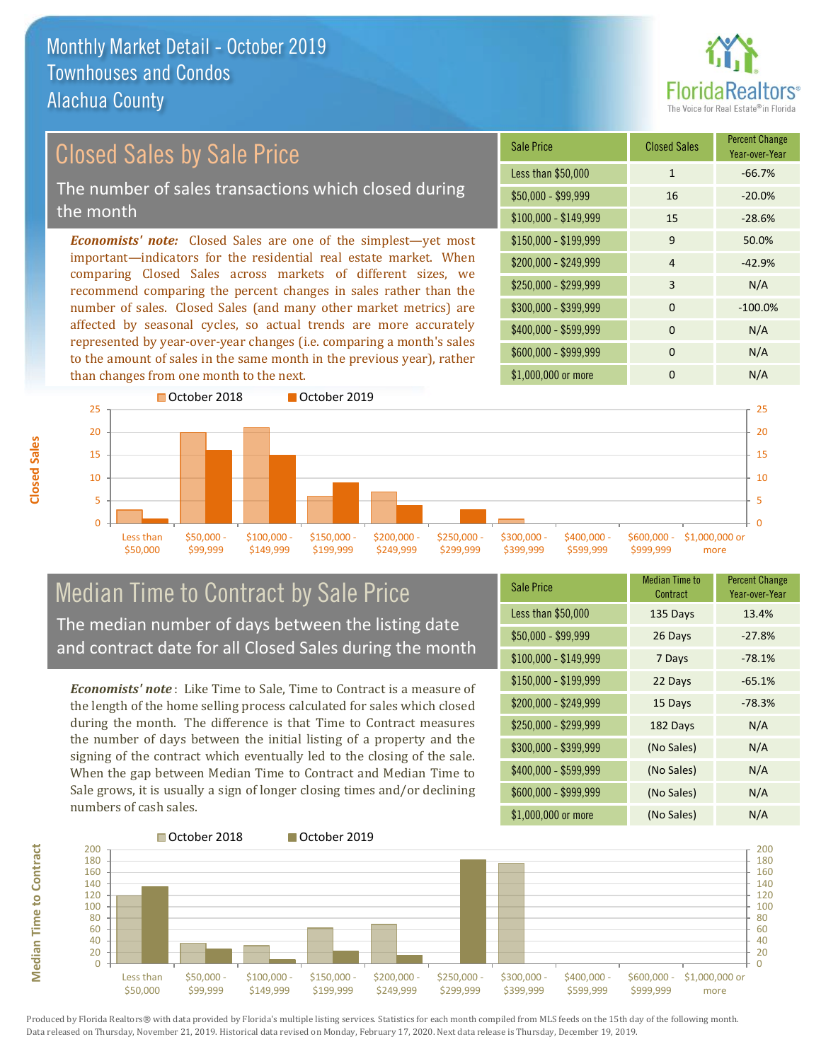

Year-over-Year

#### Sale Price Closed Sales Percent Change *Economists' note:* Closed Sales are one of the simplest—yet most important—indicators for the residential real estate market. When comparing Closed Sales across markets of different sizes, we recommend comparing the percent changes in sales rather than the number of sales. Closed Sales (and many other market metrics) are Closed Sales by Sale Price The number of sales transactions which closed during the month

affected by seasonal cycles, so actual trends are more accurately represented by year-over-year changes (i.e. comparing a month's sales to the amount of sales in the same month in the previous year), rather than changes from one month to the next.





### Median Time to Contract by Sale Price The median number of days between the listing date and contract date for all Closed Sales during the month

*Economists' note* : Like Time to Sale, Time to Contract is a measure of the length of the home selling process calculated for sales which closed during the month. The difference is that Time to Contract measures the number of days between the initial listing of a property and the signing of the contract which eventually led to the closing of the sale. When the gap between Median Time to Contract and Median Time to Sale grows, it is usually a sign of longer closing times and/or declining numbers of cash sales.

| <b>Sale Price</b>     | Median Time to<br>Contract | <b>Percent Change</b><br>Year-over-Year |
|-----------------------|----------------------------|-----------------------------------------|
| Less than \$50,000    | 135 Days                   | 13.4%                                   |
| $$50,000 - $99,999$   | 26 Days                    | $-27.8%$                                |
| $$100,000 - $149,999$ | 7 Days                     | $-78.1%$                                |
| $$150,000 - $199,999$ | 22 Days                    | $-65.1%$                                |
| \$200,000 - \$249,999 | 15 Days                    | $-78.3%$                                |
| \$250,000 - \$299,999 | 182 Days                   | N/A                                     |
| \$300,000 - \$399,999 | (No Sales)                 | N/A                                     |
| $$400,000 - $599,999$ | (No Sales)                 | N/A                                     |
| \$600,000 - \$999,999 | (No Sales)                 | N/A                                     |
| \$1,000,000 or more   | (No Sales)                 | N/A                                     |



Produced by Florida Realtors® with data provided by Florida's multiple listing services. Statistics for each month compiled from MLS feeds on the 15th day of the following month. Data released on Thursday, November 21, 2019. Historical data revised on Monday, February 17, 2020. Next data release is Thursday, December 19, 2019.

**Median Time to Contract**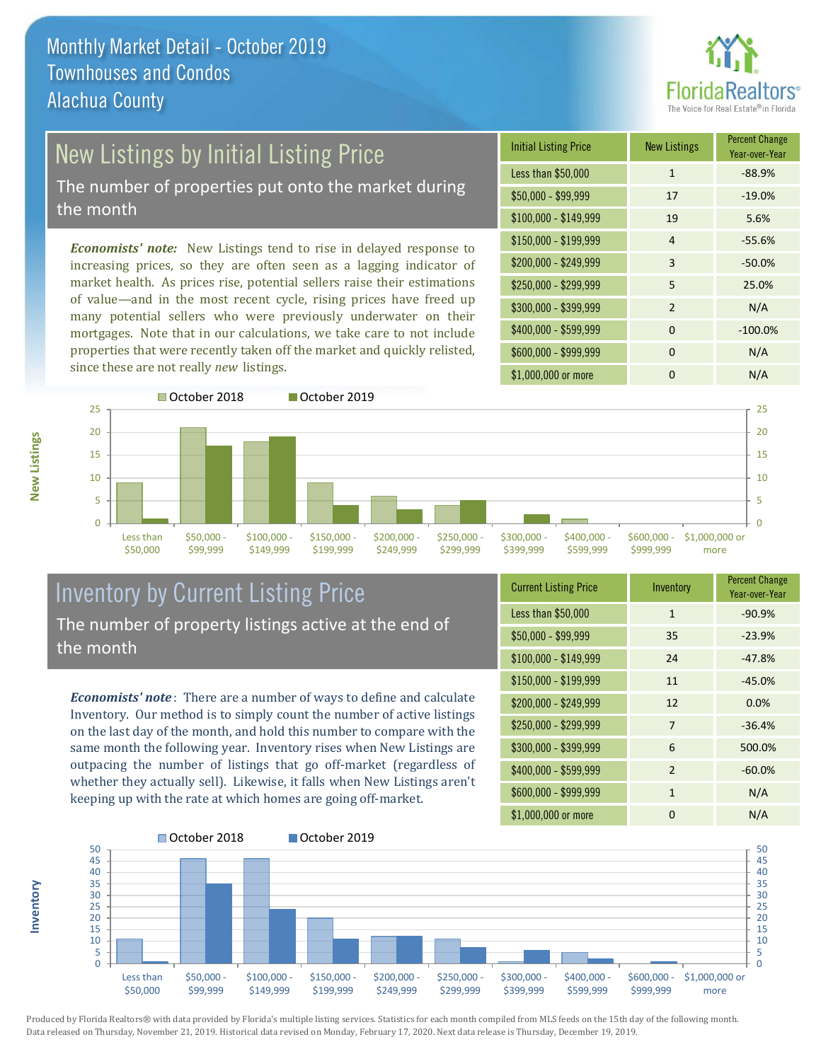

# New Listings by Initial Listing Price

The number of properties put onto the market during the month

*Economists' note:* New Listings tend to rise in delayed response to increasing prices, so they are often seen as a lagging indicator of market health. As prices rise, potential sellers raise their estimations of value—and in the most recent cycle, rising prices have freed up many potential sellers who were previously underwater on their mortgages. Note that in our calculations, we take care to not include properties that were recently taken off the market and quickly relisted, since these are not really *new* listings.

| <b>Initial Listing Price</b> | <b>New Listings</b> | <b>Percent Change</b><br>Year-over-Year |
|------------------------------|---------------------|-----------------------------------------|
| Less than \$50,000           | $\mathbf{1}$        | $-88.9%$                                |
| $$50,000 - $99,999$          | 17                  | $-19.0%$                                |
| $$100,000 - $149,999$        | 19                  | 5.6%                                    |
| $$150,000 - $199,999$        | $\overline{4}$      | $-55.6%$                                |
| \$200,000 - \$249,999        | 3                   | $-50.0%$                                |
| \$250,000 - \$299,999        | 5                   | 25.0%                                   |
| \$300,000 - \$399,999        | $\mathcal{P}$       | N/A                                     |
| \$400,000 - \$599,999        | $\Omega$            | $-100.0%$                               |
| \$600,000 - \$999,999        | $\Omega$            | N/A                                     |
| \$1,000,000 or more          | n                   | N/A                                     |



#### Inventory by Current Listing Price The number of property listings active at the end of the month

*Economists' note* : There are a number of ways to define and calculate Inventory. Our method is to simply count the number of active listings on the last day of the month, and hold this number to compare with the same month the following year. Inventory rises when New Listings are outpacing the number of listings that go off-market (regardless of whether they actually sell). Likewise, it falls when New Listings aren't keeping up with the rate at which homes are going off-market.

| <b>Current Listing Price</b> | Inventory      | <b>Percent Change</b><br>Year-over-Year |
|------------------------------|----------------|-----------------------------------------|
| Less than \$50,000           | $\mathbf{1}$   | $-90.9%$                                |
| $$50,000 - $99,999$          | 35             | $-23.9%$                                |
| $$100,000 - $149,999$        | 24             | $-47.8%$                                |
| $$150,000 - $199,999$        | 11             | $-45.0%$                                |
| \$200,000 - \$249,999        | 12             | 0.0%                                    |
| \$250,000 - \$299,999        | 7              | $-36.4%$                                |
| \$300,000 - \$399,999        | 6              | 500.0%                                  |
| \$400,000 - \$599,999        | $\overline{2}$ | $-60.0%$                                |
| \$600,000 - \$999,999        | $\mathbf{1}$   | N/A                                     |
| \$1,000,000 or more          | O              | N/A                                     |



Produced by Florida Realtors® with data provided by Florida's multiple listing services. Statistics for each month compiled from MLS feeds on the 15th day of the following month. Data released on Thursday, November 21, 2019. Historical data revised on Monday, February 17, 2020. Next data release is Thursday, December 19, 2019.

**Inventory**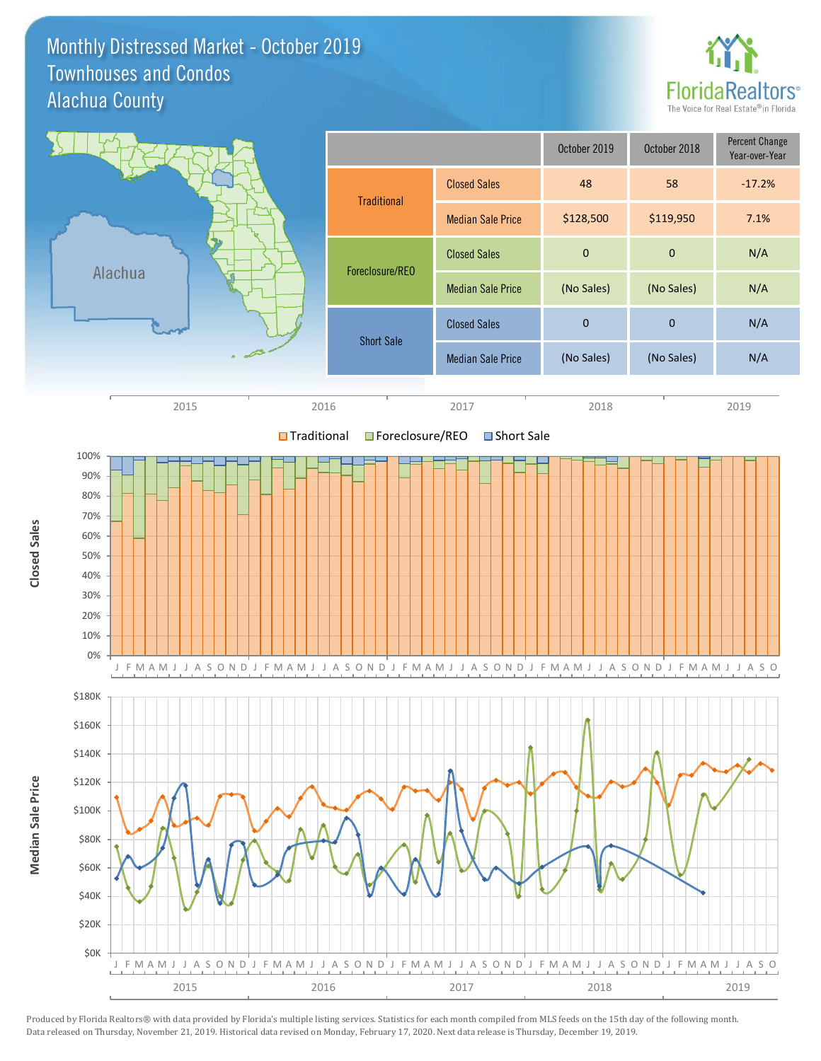#### Monthly Distressed Market - October 2019 Alachua County Townhouses and Condos



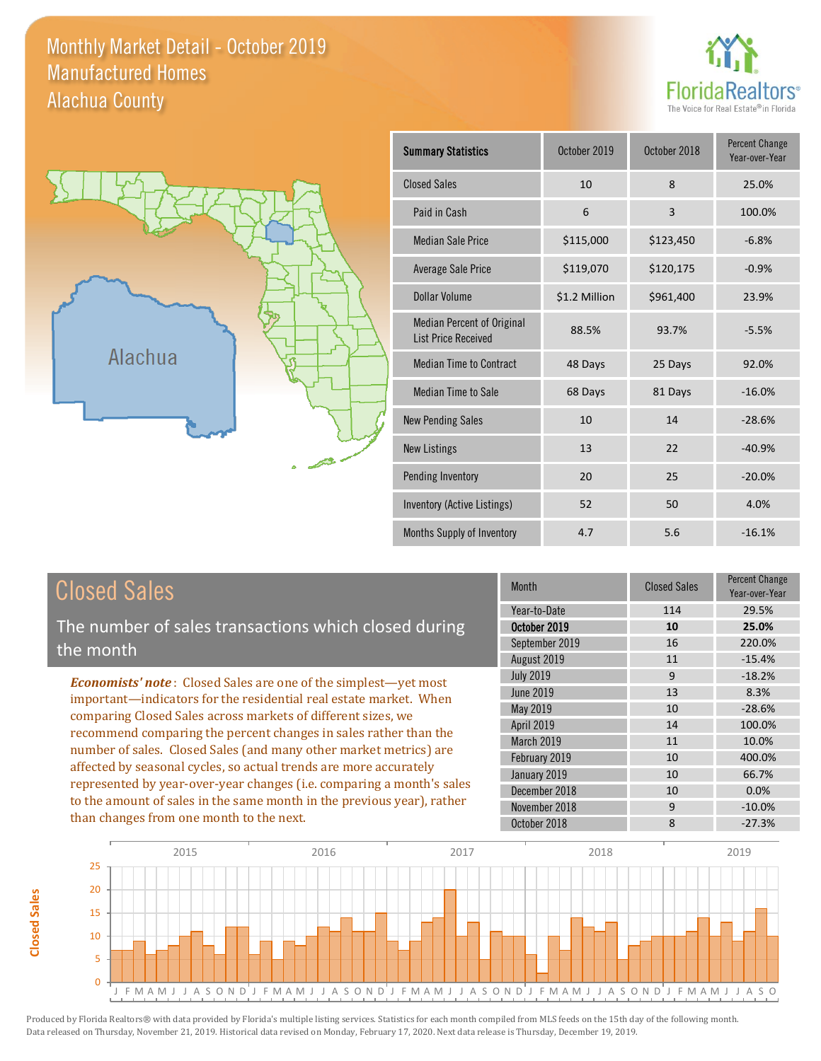Monthly Market Detail - October 2019 Alachua County Manufactured Homes





**Closed Sales**

**Closed Sales** 

| <b>Summary Statistics</b>                                       | October 2019  | October 2018 | <b>Percent Change</b><br>Year-over-Year |
|-----------------------------------------------------------------|---------------|--------------|-----------------------------------------|
| <b>Closed Sales</b>                                             | 10            | 8            | 25.0%                                   |
| Paid in Cash                                                    | 6             | 3            | 100.0%                                  |
| <b>Median Sale Price</b>                                        | \$115,000     | \$123,450    | $-6.8%$                                 |
| Average Sale Price                                              | \$119,070     | \$120,175    | $-0.9%$                                 |
| Dollar Volume                                                   | \$1.2 Million | \$961,400    | 23.9%                                   |
| <b>Median Percent of Original</b><br><b>List Price Received</b> | 88.5%         | 93.7%        | $-5.5%$                                 |
| <b>Median Time to Contract</b>                                  | 48 Days       | 25 Days      | 92.0%                                   |
| <b>Median Time to Sale</b>                                      | 68 Days       | 81 Days      | $-16.0%$                                |
| <b>New Pending Sales</b>                                        | 10            | 14           | $-28.6%$                                |
| <b>New Listings</b>                                             | 13            | 22           | $-40.9%$                                |
| Pending Inventory                                               | 20            | 25           | $-20.0%$                                |
| Inventory (Active Listings)                                     | 52            | 50           | 4.0%                                    |
| Months Supply of Inventory                                      | 4.7           | 5.6          | $-16.1%$                                |

| <b>Closed Sales</b>                                                                                                                                                                                                                                                                       | <b>Month</b>                                                                  | <b>Closed Sales</b>       | <b>Percent Change</b><br>Year-over-Year         |
|-------------------------------------------------------------------------------------------------------------------------------------------------------------------------------------------------------------------------------------------------------------------------------------------|-------------------------------------------------------------------------------|---------------------------|-------------------------------------------------|
| The number of sales transactions which closed during<br>the month                                                                                                                                                                                                                         | Year-to-Date<br>October 2019<br>September 2019<br>August 2019                 | 114<br>10<br>16<br>11     | 29.5%<br>25.0%<br>220.0%<br>$-15.4%$            |
| <b>Economists' note:</b> Closed Sales are one of the simplest—yet most<br>important—indicators for the residential real estate market. When<br>comparing Closed Sales across markets of different sizes, we<br>recommend comparing the percent changes in sales rather than the           | <b>July 2019</b><br>June 2019<br>May 2019<br>April 2019                       | 9<br>13<br>10<br>14       | $-18.2%$<br>8.3%<br>$-28.6%$<br>100.0%          |
| number of sales. Closed Sales (and many other market metrics) are<br>affected by seasonal cycles, so actual trends are more accurately<br>represented by year-over-year changes (i.e. comparing a month's sales<br>to the amount of sales in the same month in the previous year), rather | March 2019<br>February 2019<br>January 2019<br>December 2018<br>November 2018 | 11<br>10<br>10<br>10<br>9 | 10.0%<br>400.0%<br>66.7%<br>$0.0\%$<br>$-10.0%$ |
| than changes from one month to the next.                                                                                                                                                                                                                                                  | October 2018                                                                  | 8                         | $-27.3%$                                        |

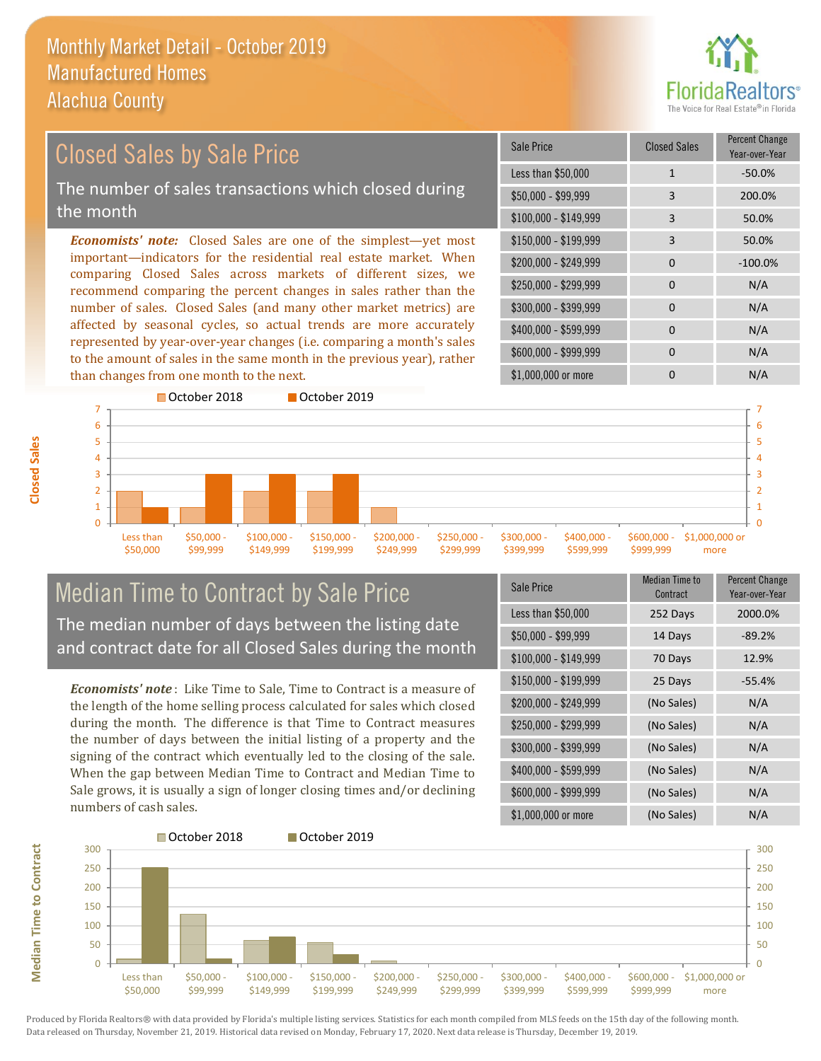

#### \$100,000 - \$149,999 3 50.0% Sale Price Closed Sales Percent Change Year-over-Year Less than \$50,000 1 1 -50.0% \$50,000 - \$99,999 3 200.0% \$150,000 - \$199,999 3 50.0% \$200,000 - \$249,999 0 -100.0%  $$400,000 - $599,999$  0 N/A \$600,000 - \$999,999 0 0 N/A *Economists' note:* Closed Sales are one of the simplest—yet most important—indicators for the residential real estate market. When comparing Closed Sales across markets of different sizes, we recommend comparing the percent changes in sales rather than the number of sales. Closed Sales (and many other market metrics) are affected by seasonal cycles, so actual trends are more accurately represented by year-over-year changes (i.e. comparing a month's sales to the amount of sales in the same month in the previous year), rather than changes from one month to the next. \$1,000,000 or more 0 0 N/A \$250,000 - \$299,999 0 0 N/A \$300,000 - \$399,999 0 0 N/A Closed Sales by Sale Price The number of sales transactions which closed during the month



## Median Time to Contract by Sale Price The median number of days between the listing date and contract date for all Closed Sales during the month

*Economists' note* : Like Time to Sale, Time to Contract is a measure of the length of the home selling process calculated for sales which closed during the month. The difference is that Time to Contract measures the number of days between the initial listing of a property and the signing of the contract which eventually led to the closing of the sale. When the gap between Median Time to Contract and Median Time to Sale grows, it is usually a sign of longer closing times and/or declining numbers of cash sales.

| <b>Sale Price</b>     | Median Time to<br>Contract | <b>Percent Change</b><br>Year-over-Year |
|-----------------------|----------------------------|-----------------------------------------|
| Less than \$50,000    | 252 Days                   | 2000.0%                                 |
| $$50,000 - $99,999$   | 14 Days                    | $-89.2%$                                |
| $$100,000 - $149,999$ | 70 Days                    | 12.9%                                   |
| $$150,000 - $199,999$ | 25 Days                    | $-55.4%$                                |
| \$200,000 - \$249,999 | (No Sales)                 | N/A                                     |
| \$250,000 - \$299,999 | (No Sales)                 | N/A                                     |
| \$300,000 - \$399,999 | (No Sales)                 | N/A                                     |
| \$400,000 - \$599,999 | (No Sales)                 | N/A                                     |
| \$600,000 - \$999,999 | (No Sales)                 | N/A                                     |
| \$1,000,000 or more   | (No Sales)                 | N/A                                     |



Produced by Florida Realtors® with data provided by Florida's multiple listing services. Statistics for each month compiled from MLS feeds on the 15th day of the following month. Data released on Thursday, November 21, 2019. Historical data revised on Monday, February 17, 2020. Next data release is Thursday, December 19, 2019.

**Median Time to Contract**

**Median Time to Contract**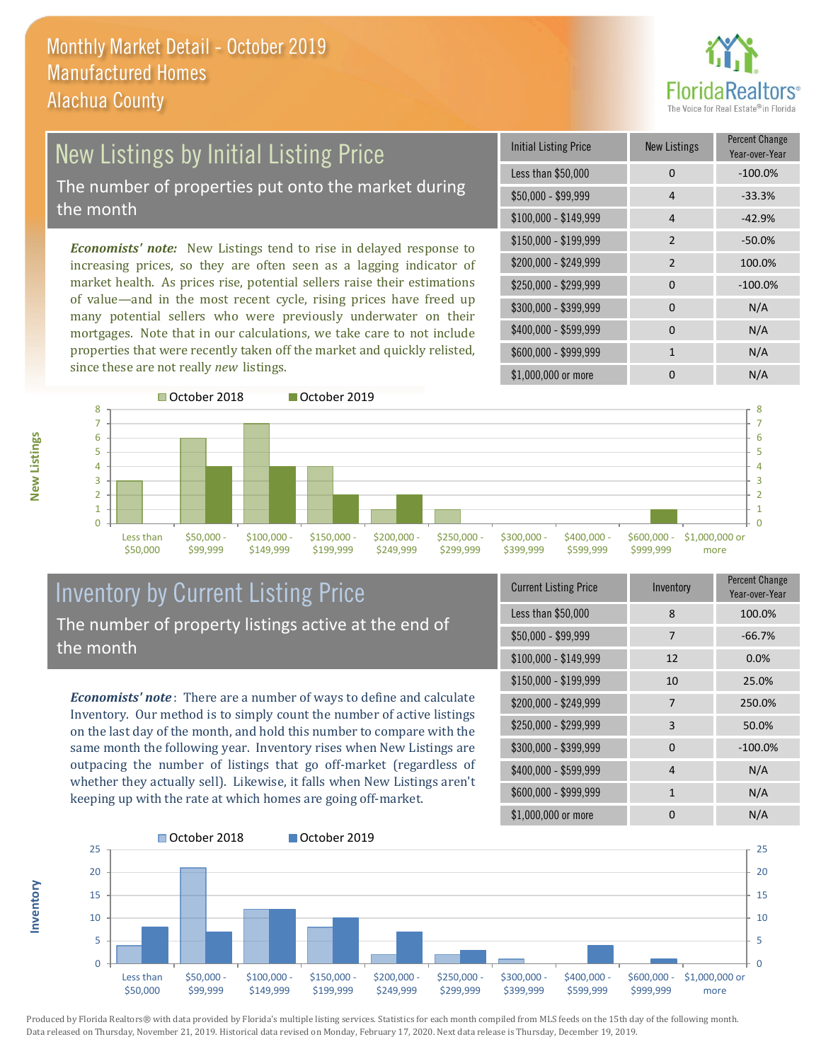

### New Listings by Initial Listing Price The number of properties put onto the market during the month

*Economists' note:* New Listings tend to rise in delayed response to increasing prices, so they are often seen as a lagging indicator of market health. As prices rise, potential sellers raise their estimations of value—and in the most recent cycle, rising prices have freed up many potential sellers who were previously underwater on their mortgages. Note that in our calculations, we take care to not include properties that were recently taken off the market and quickly relisted, since these are not really *new* listings.

| <b>Initial Listing Price</b> | <b>New Listings</b> | <b>Percent Change</b><br>Year-over-Year |
|------------------------------|---------------------|-----------------------------------------|
| Less than \$50,000           | 0                   | $-100.0%$                               |
| \$50,000 - \$99,999          | 4                   | $-33.3%$                                |
| $$100,000 - $149,999$        | 4                   | $-42.9%$                                |
| $$150,000 - $199,999$        | $\overline{2}$      | $-50.0%$                                |
| \$200,000 - \$249,999        | $\mathfrak{p}$      | 100.0%                                  |
| \$250,000 - \$299,999        | 0                   | $-100.0%$                               |
| \$300,000 - \$399,999        | $\Omega$            | N/A                                     |
| \$400,000 - \$599,999        | $\Omega$            | N/A                                     |
| \$600,000 - \$999,999        | 1                   | N/A                                     |
| \$1,000,000 or more          | n                   | N/A                                     |



## Inventory by Current Listing Price The number of property listings active at the end of the month

*Economists' note* : There are a number of ways to define and calculate Inventory. Our method is to simply count the number of active listings on the last day of the month, and hold this number to compare with the same month the following year. Inventory rises when New Listings are outpacing the number of listings that go off-market (regardless of whether they actually sell). Likewise, it falls when New Listings aren't keeping up with the rate at which homes are going off-market.

| <b>Current Listing Price</b> | Inventory    | Percent Change<br>Year-over-Year |
|------------------------------|--------------|----------------------------------|
| Less than \$50,000           | 8            | 100.0%                           |
| $$50,000 - $99,999$          | 7            | $-66.7%$                         |
| $$100,000 - $149,999$        | 12           | 0.0%                             |
| \$150,000 - \$199,999        | 10           | 25.0%                            |
| \$200,000 - \$249,999        | 7            | 250.0%                           |
| \$250,000 - \$299,999        | 3            | 50.0%                            |
| \$300,000 - \$399,999        | $\Omega$     | $-100.0%$                        |
| \$400,000 - \$599,999        | 4            | N/A                              |
| \$600,000 - \$999,999        | $\mathbf{1}$ | N/A                              |
| \$1,000,000 or more          | ŋ            | N/A                              |



Produced by Florida Realtors® with data provided by Florida's multiple listing services. Statistics for each month compiled from MLS feeds on the 15th day of the following month. Data released on Thursday, November 21, 2019. Historical data revised on Monday, February 17, 2020. Next data release is Thursday, December 19, 2019.

**Inventory**